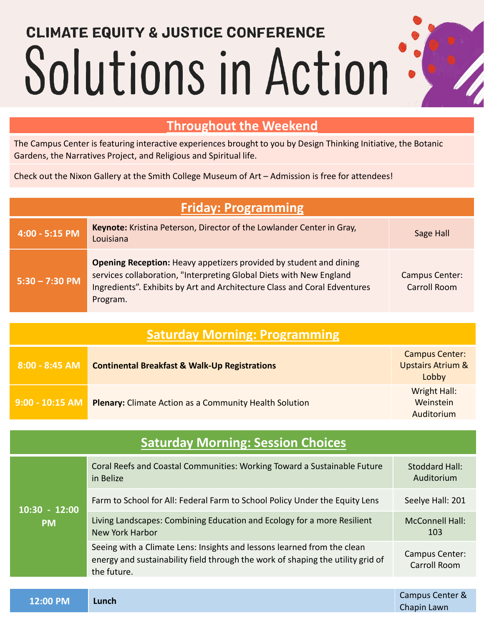## **CLIMATE EQUITY & JUSTICE CONFERENCE** Solutions in Action

## **Throughout the Weekend**

The Campus Center is featuring interactive experiences brought to you by Design Thinking Initiative, the Botanic Gardens, the Narratives Project, and Religious and Spiritual life.

Check out the Nixon Gallery at the Smith College Museum of Art – Admission is free for attendees!

| <b>Friday: Programming</b>               |                                                                                                                                                                                                                                    |                                                                |  |  |
|------------------------------------------|------------------------------------------------------------------------------------------------------------------------------------------------------------------------------------------------------------------------------------|----------------------------------------------------------------|--|--|
| 4:00 - 5:15 PM                           | Keynote: Kristina Peterson, Director of the Lowlander Center in Gray,<br>Louisiana                                                                                                                                                 | Sage Hall                                                      |  |  |
| $5:30 - 7:30$ PM                         | Opening Reception: Heavy appetizers provided by student and dining<br>services collaboration, "Interpreting Global Diets with New England<br>Ingredients". Exhibits by Art and Architecture Class and Coral Edventures<br>Program. | <b>Campus Center:</b><br><b>Carroll Room</b>                   |  |  |
| <b>Saturday Morning: Programming</b>     |                                                                                                                                                                                                                                    |                                                                |  |  |
| 8:00 - 8:45 AM                           | <b>Continental Breakfast &amp; Walk-Up Registrations</b>                                                                                                                                                                           | <b>Campus Center:</b><br><b>Upstairs Atrium &amp;</b><br>Lobby |  |  |
| 9:00 - 10:15 AM                          | Plenary: Climate Action as a Community Health Solution                                                                                                                                                                             | <b>Wright Hall:</b><br>Weinstein<br>Auditorium                 |  |  |
| <b>Saturday Morning: Session Choices</b> |                                                                                                                                                                                                                                    |                                                                |  |  |
| $10:30 - 12:00$<br><b>PM</b>             | Coral Reefs and Coastal Communities: Working Toward a Sustainable Future<br>in Belize                                                                                                                                              | <b>Stoddard Hall:</b><br>Auditorium                            |  |  |
|                                          | Farm to School for All: Federal Farm to School Policy Under the Equity Lens                                                                                                                                                        | Seelye Hall: 201                                               |  |  |
|                                          | Living Landscapes: Combining Education and Ecology for a more Resilient<br><b>New York Harbor</b>                                                                                                                                  | <b>McConnell Hall:</b><br>103                                  |  |  |
|                                          | Seeing with a Climate Lens: Insights and lessons learned from the clean<br>energy and sustainability field through the work of shaping the utility grid of<br>the future.                                                          | Campus Center:<br><b>Carroll Room</b>                          |  |  |
|                                          |                                                                                                                                                                                                                                    | Campus Center &                                                |  |  |
| 12:00 PM                                 | Lunch                                                                                                                                                                                                                              | Chapin Lawn                                                    |  |  |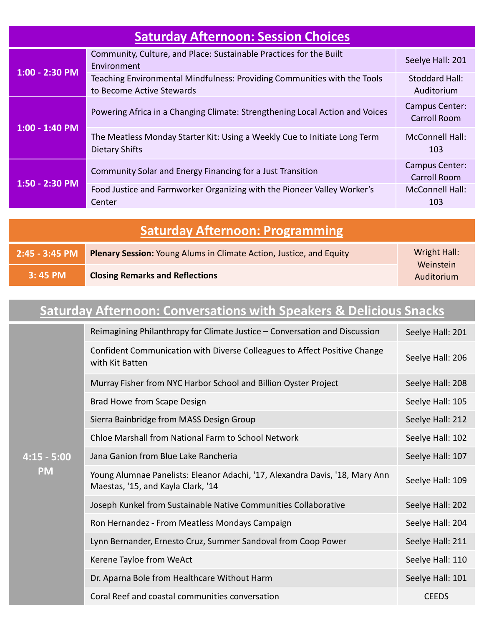| <b>Saturday Afternoon: Session Choices</b> |                                                                                                       |                                       |  |  |
|--------------------------------------------|-------------------------------------------------------------------------------------------------------|---------------------------------------|--|--|
| $1:00 - 2:30 P M$                          | Community, Culture, and Place: Sustainable Practices for the Built<br>Environment                     | Seelye Hall: 201                      |  |  |
|                                            | Teaching Environmental Mindfulness: Providing Communities with the Tools<br>to Become Active Stewards | Stoddard Hall:<br>Auditorium          |  |  |
| $1:00 - 1:40$ PM                           | Powering Africa in a Changing Climate: Strengthening Local Action and Voices                          | Campus Center:<br>Carroll Room        |  |  |
|                                            | The Meatless Monday Starter Kit: Using a Weekly Cue to Initiate Long Term<br><b>Dietary Shifts</b>    | <b>McConnell Hall:</b><br>103         |  |  |
| 1:50 - 2:30 PM                             | Community Solar and Energy Financing for a Just Transition                                            | <b>Campus Center:</b><br>Carroll Room |  |  |
|                                            | Food Justice and Farmworker Organizing with the Pioneer Valley Worker's<br>Center                     | <b>McConnell Hall:</b><br>103         |  |  |

| <b>Saturday Afternoon: Programming</b> |                                                                            |                                         |  |  |
|----------------------------------------|----------------------------------------------------------------------------|-----------------------------------------|--|--|
| $2:45 - 3:45$ PM                       | <b>Plenary Session:</b> Young Alums in Climate Action, Justice, and Equity | Wright Hall:<br>Weinstein<br>Auditorium |  |  |
| 3:45 PM                                | <b>Closing Remarks and Reflections</b>                                     |                                         |  |  |

## **Saturday Afternoon: Conversations with Speakers & Delicious Snacks**

| $4:15 - 5:00$<br><b>PM</b> | Reimagining Philanthropy for Climate Justice – Conversation and Discussion                                         | Seelye Hall: 201 |
|----------------------------|--------------------------------------------------------------------------------------------------------------------|------------------|
|                            | Confident Communication with Diverse Colleagues to Affect Positive Change<br>with Kit Batten                       | Seelye Hall: 206 |
|                            | Murray Fisher from NYC Harbor School and Billion Oyster Project                                                    | Seelye Hall: 208 |
|                            | Brad Howe from Scape Design                                                                                        | Seelye Hall: 105 |
|                            | Sierra Bainbridge from MASS Design Group                                                                           | Seelye Hall: 212 |
|                            | Chloe Marshall from National Farm to School Network                                                                | Seelye Hall: 102 |
|                            | Jana Ganion from Blue Lake Rancheria                                                                               | Seelye Hall: 107 |
|                            | Young Alumnae Panelists: Eleanor Adachi, '17, Alexandra Davis, '18, Mary Ann<br>Maestas, '15, and Kayla Clark, '14 | Seelye Hall: 109 |
|                            | Joseph Kunkel from Sustainable Native Communities Collaborative                                                    | Seelye Hall: 202 |
|                            | Ron Hernandez - From Meatless Mondays Campaign                                                                     | Seelye Hall: 204 |
|                            | Lynn Bernander, Ernesto Cruz, Summer Sandoval from Coop Power                                                      | Seelye Hall: 211 |
|                            | Kerene Tayloe from WeAct                                                                                           | Seelye Hall: 110 |
|                            | Dr. Aparna Bole from Healthcare Without Harm                                                                       | Seelye Hall: 101 |
|                            | Coral Reef and coastal communities conversation                                                                    | <b>CEEDS</b>     |